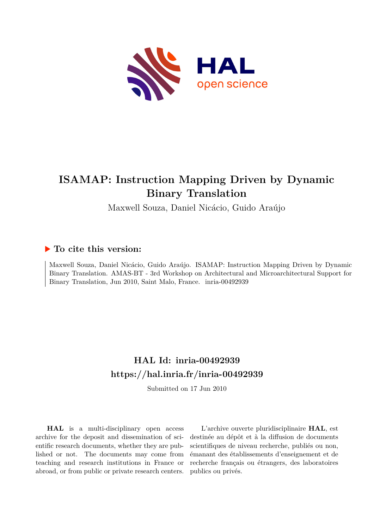

## **ISAMAP: Instruction Mapping Driven by Dynamic Binary Translation**

Maxwell Souza, Daniel Nicácio, Guido Araújo

### **To cite this version:**

Maxwell Souza, Daniel Nicácio, Guido Araújo. ISAMAP: Instruction Mapping Driven by Dynamic Binary Translation. AMAS-BT - 3rd Workshop on Architectural and Microarchitectural Support for Binary Translation, Jun 2010, Saint Malo, France. inria-00492939

## **HAL Id: inria-00492939 <https://hal.inria.fr/inria-00492939>**

Submitted on 17 Jun 2010

**HAL** is a multi-disciplinary open access archive for the deposit and dissemination of scientific research documents, whether they are published or not. The documents may come from teaching and research institutions in France or abroad, or from public or private research centers.

L'archive ouverte pluridisciplinaire **HAL**, est destinée au dépôt et à la diffusion de documents scientifiques de niveau recherche, publiés ou non, émanant des établissements d'enseignement et de recherche français ou étrangers, des laboratoires publics ou privés.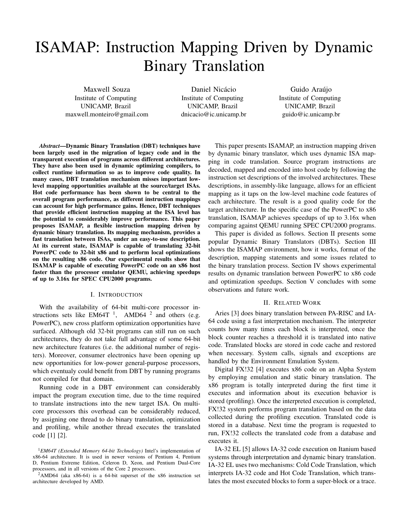# ISAMAP: Instruction Mapping Driven by Dynamic Binary Translation

Maxwell Souza Institute of Computing UNICAMP, Brazil maxwell.monteiro@gmail.com

Daniel Nicácio Institute of Computing UNICAMP, Brazil dnicacio@ic.unicamp.br

Guido Araújo Institute of Computing UNICAMP, Brazil guido@ic.unicamp.br

*Abstract*—Dynamic Binary Translation (DBT) techniques have been largely used in the migration of legacy code and in the transparent execution of programs across different architectures. They have also been used in dynamic optimizing compilers, to collect runtime information so as to improve code quality. In many cases, DBT translation mechanism misses important lowlevel mapping opportunities available at the source/target ISAs. Hot code performance has been shown to be central to the overall program performance, as different instruction mappings can account for high performance gains. Hence, DBT techniques that provide efficient instruction mapping at the ISA level has the potential to considerably improve performance. This paper proposes ISAMAP, a flexible instruction mapping driven by dynamic binary translation. Its mapping mechanism, provides a fast translation between ISAs, under an easy-to-use description. At its current state, ISAMAP is capable of translating 32-bit PowerPC code to 32-bit x86 and to perform local optimizations on the resulting x86 code. Our experimental results show that ISAMAP is capable of executing PowerPC code on an x86 host faster than the processor emulator QEMU, achieving speedups of up to 3.16x for SPEC CPU2000 programs.

#### I. INTRODUCTION

With the availability of 64-bit multi-core processor instructions sets like EM64T<sup>1</sup>, AMD64<sup>2</sup> and others (e.g. PowerPC), new cross platform optimization opportunities have surfaced. Although old 32-bit programs can still run on such architectures, they do not take full advantage of some 64-bit new architecture features (i.e. the additional number of registers). Moreover, consumer electronics have been opening up new opportunities for low-power general-purpose processors, which eventualy could benefit from DBT by running programs not compiled for that domain.

Running code in a DBT environment can considerably impact the program execution time, due to the time required to translate instructions into the new target ISA. On multicore processors this overhead can be considerably reduced, by assigning one thread to do binary translation, optimization and profiling, while another thread executes the translated code [1] [2].

This paper presents ISAMAP, an instruction mapping driven by dynamic binary translator, which uses dynamic ISA mapping in code translation. Source program instructions are decoded, mapped and encoded into host code by following the instruction set descriptions of the involved architectures. These descriptions, in assembly-like language, allows for an efficient mapping as it taps on the low-level machine code features of each architecture. The result is a good quality code for the target architecture. In the specific case of the PowerPC to x86 translation, ISAMAP achieves speedups of up to 3.16x when comparing against QEMU running SPEC CPU2000 programs.

This paper is divided as follows. Section II presents some popular Dynamic Binary Translators (DBTs). Section III shows the ISAMAP environment, how it works, format of the description, mapping statements and some issues related to the binary translation process. Section IV shows experimental results on dynamic translation between PowerPC to x86 code and optimization speedups. Section V concludes with some observations and future work.

#### II. RELATED WORK

Aries [3] does binary translation between PA-RISC and IA-64 code using a fast interpretation mechanism. The interpreter counts how many times each block is interpreted, once the block counter reaches a threshold it is translated into native code. Translated blocks are stored in code cache and restored when necessary. System calls, signals and exceptions are handled by the Environment Emulation System.

Digital FX!32 [4] executes x86 code on an Alpha System by employing emulation and static binary translation. The x86 program is totally interpreted during the first time it executes and information about its execution behavior is stored (profiling). Once the interpreted execution is completed, FX!32 system performs program translation based on the data collected during the profiling execution. Translated code is stored in a database. Next time the program is requested to run, FX!32 collects the translated code from a database and executes it.

IA-32 EL [5] allows IA-32 code execution on Itanium based systems through interpretation and dynamic binary translation. IA-32 EL uses two mechanisms: Cold Code Translation, which interprets IA-32 code and Hot Code Translation, which translates the most executed blocks to form a super-block or a trace.

<sup>1</sup>*EM64T (Extended Memory 64-bit Technology)* Intel's implementation of x86-64 architecture. It is used in newer versions of Pentium 4, Pentium D, Pentium Extreme Edition, Celeron D, Xeon, and Pentium Dual-Core processors, and in all versions of the Core 2 processors.

<sup>2</sup>AMD64 (aka x86-64) is a 64-bit superset of the x86 instruction set architecture developed by AMD.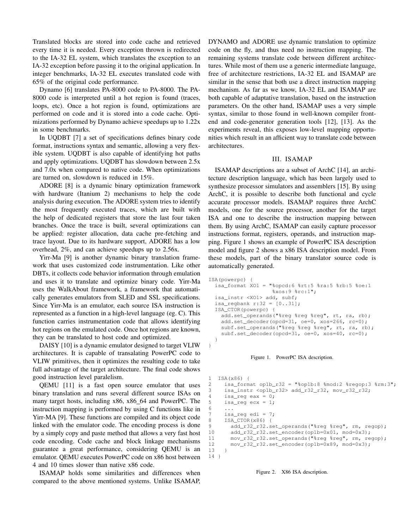Translated blocks are stored into code cache and retrieved every time it is needed. Every exception thrown is redirected to the IA-32 EL system, which translates the exception to an IA-32 exception before passing it to the original application. In integer benchmarks, IA-32 EL executes translated code with 65% of the original code performance.

Dynamo [6] translates PA-8000 code to PA-8000. The PA-8000 code is interpreted until a hot region is found (traces, loops, etc). Once a hot region is found, optimizations are performed on code and it is stored into a code cache. Optimizations performed by Dynamo achieve speedups up to 1.22x in some benchmarks.

In UQDBT [7] a set of specifications defines binary code format, instructions syntax and semantic, allowing a very flexible system. UQDBT is also capable of identifying hot paths and apply optimizations. UQDBT has slowdown between 2.5x and 7.0x when compared to native code. When optimizations are turned on, slowdown is reduced in 15%.

ADORE [8] is a dynamic binary optimization framework with hardware (Itanium 2) mechanisms to help the code analysis during execution. The ADORE system tries to identify the most frequently executed traces, which are built with the help of dedicated registers that store the last four taken branches. Once the trace is built, several optimizations can be applied: register allocation, data cache pre-fetching and trace layout. Due to its hardware support, ADORE has a low overhead, 2%, and can achieve speedups up to 2.56x.

Yirr-Ma [9] is another dynamic binary translation framework that uses customized code instrumentation. Like other DBTs, it collects code behavior information through emulation and uses it to translate and optimize binary code. Yirr-Ma uses the WalkAbout framework, a framework that automatically generates emulators from SLED and SSL specifications. Since Yirr-Ma is an emulator, each source ISA instruction is represented as a function in a high-level language (eg. C). This function carries instrumentation code that allows identifying hot regions on the emulated code. Once hot regions are known, they can be translated to host code and optimized.

DAISY [10] is a dynamic emulator designed to target VLIW architectures. It is capable of transalating PowerPC code to VLIW primitives, then it optimizes the resulting code to take full advantage of the target architecture. The final code shows good instruction level paralelism.

QEMU [11] is a fast open source emulator that uses binary translation and runs several different source ISAs on many target hosts, including x86, x86 64 and PowerPC. The instruction mapping is performed by using C functions like in Yirr-MA [9]. These functions are compiled and its object code linked with the emulator code. The encoding process is done by a simply copy and paste method that allows a very fast host code encoding. Code cache and block linkage mechanisms guarantee a great performance, considering QEMU is an emulator. QEMU executes PowerPC code on x86 host between 4 and 10 times slower than native x86 code.

ISAMAP holds some similarities and differences when compared to the above mentioned systems. Unlike ISAMAP, DYNAMO and ADORE use dynamic translation to optimize code on the fly, and thus need no instruction mapping. The remaining systems translate code between different architectures. While most of them use a generic intermediate language, free of architecture restrictions, IA-32 EL and ISAMAP are similar in the sense that both use a direct instruction mapping mechanism. As far as we know, IA-32 EL and ISAMAP are both capable of adaptative translation, based on the instruction parameters. On the other hand, ISAMAP uses a very simple syntax, similar to those found in well-known compiler frontend and code-generator generation tools [12], [13]. As the experiments reveal, this exposes low-level mapping opportunities which result in an afficient way to translate code between architectures.

#### III. ISAMAP

ISAMAP descriptions are a subset of ArchC [14], an architecture description language, which has been largely used to synthesize processor simulators and assemblers [15]. By using ArchC, it is possible to describe both functional and cycle accurate processor models. ISAMAP requires three ArchC models, one for the source processor, another for the target ISA and one to describe the instruction mapping between them. By using ArchC, ISAMAP can easily capture processor instructions format, registers, operands, and instruction mapping. Figure 1 shows an example of PowerPC ISA description model and figure 2 shows a x86 ISA description model. From these models, part of the binary translator source code is automatically generated.

```
ISA(powerpc) {
  isa_format XO1 = "%opcd:6 %rt:5 %ra:5 %rb:5 %oe:1
                      \frac{1}{2}x \cos 19 \text{ } \frac{1}{2} \cos 11isa_instr <XO1> add, subf;
  isa_regbank r:32 = [0..31];
  ISA_CTOR(powerpc) {
    add.set_operands("%reg %reg %reg", rt, ra, rb);
    add.set_decoder(opcd=31, oe=0, xos=266, rc=0);
    subf.set_operands("%reg %reg %reg", rt, ra, rb);
    subf.set_decoder(opcd=31, oe=0, xos=40, rc=0);
  }
```


}

```
1 ISA(x86) {
2 isa_format op1b_r32 = "%op1b:8 %mod:2 %regop:3 %rm:3";
3 isa_instr <op1b_r32> add_r32_r32, mov_r32_r32;
4 isa_reg eax = 0;
5 isa_req ecx = 1;
6 ...<br>7 isa
7 isa_reg edi = 7;<br>8 ISA CTOR(x86) {
     ISA_CTOR(x86) {
9 add_r32_r32.set_operands("%reg %reg", rm, regop);
10 add r32 r32.set encoder(op1b=0x01, mod=0x3);
11 mov_r32_r32.set_operands("%reg %reg", rm, regop);
12 mov_r32_r32.set_encoder(op1b=0x89, mod=0x3);
13 }
14 }
```
#### Figure 2. X86 ISA description.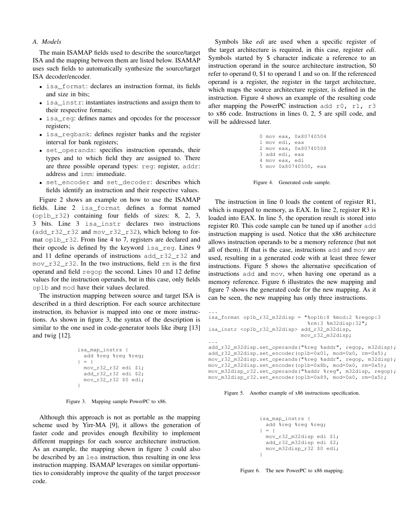#### *A. Models*

The main ISAMAP fields used to describe the source/target ISA and the mapping between them are listed below. ISAMAP uses such fields to automatically synthesize the source/target ISA decoder/encoder.

- isa\_format: declares an instruction format, its fields and size in bits;
- isa instr: instantiates instructions and assign them to their respective formats;
- isa\_reg: defines names and opcodes for the processor registers;
- isa regbank: defines register banks and the register interval for bank registers;
- set\_operands: specifies instruction operands, their types and to which field they are assigned to. There are three possible operand types: reg: register, addr: address and imm: immediate.
- set\_encoder and set\_decoder: describes which fields identify an instruction and their respective values.

Figure 2 shows an example on how to use the ISAMAP fields. Line 2 isa\_format defines a format named (op1b\_r32) containing four fields of sizes: 8, 2, 3, 3 bits. Line 3 isa\_instr declares two instructions (add\_r32\_r32 and mov\_r32\_r32), which belong to format op1b r32. From line 4 to 7, registers are declared and their opcode is defined by the keyword isa\_reg. Lines 9 and 11 define operands of instructions add\_r32\_r32 and mov\_r32\_r32. In the two instructions, field rm is the first operand and field regop the second. Lines 10 and 12 define values for the instruction operands, but in this case, only fields op1b and mod have their values declared.

The instruction mapping between source and target ISA is described in a third description. For each source architecture instruction, its behavior is mapped into one or more instructions. As shown in figure 3, the syntax of the description is similar to the one used in code-generator tools like iburg [13] and twig [12].

```
isa_map_instrs {
 add %reg %reg %reg;
} = {
 mov_r32_r32 edi $1;
 add_r32_r32 edi $2;
 mov_r32_r32 $0 edi;
}
```
Figure 3. Mapping sample PowerPC to x86.

Although this approach is not as portable as the mapping scheme used by Yirr-MA [9], it allows the generation of faster code and provides enough flexibility to implement different mappings for each source architecture instruction. As an example, the mapping shown in figure 3 could also be described by an lea instruction, thus resulting in one less instruction mapping. ISAMAP leverages on similar opportunities to considerably improve the quality of the target processor code.

Symbols like *edi* are used when a specific register of the target architecture is required, in this case, register *edi*. Symbols started by \$ character indicate a reference to an instruction operand in the source architecture instruction, \$0 refer to operand 0, \$1 to operand 1 and so on. If the referenced operand is a register, the register in the target architecture, which maps the source architecture register, is defined in the instruction. Figure 4 shows an example of the resulting code after mapping the PowerPC instruction add  $r0$ ,  $r1$ ,  $r3$ to x86 code. Instructions in lines 0, 2, 5 are spill code, and will be addressed later.

|  |                | 0 mov eax, 0x80740504 |  |
|--|----------------|-----------------------|--|
|  | 1 mov edi, eax |                       |  |
|  |                | 2 mov eax, 0x80740508 |  |
|  | 3 add edi, eax |                       |  |
|  | 4 mov eax, edi |                       |  |
|  |                | 5 mov 0x80740500, eax |  |
|  |                |                       |  |

Figure 4. Generated code sample.

The instruction in line 0 loads the content of register R1, which is mapped to memory, as EAX. In line 2, register R3 is loaded into EAX. In line 5, the operation result is stored into register R0. This code sample can be tuned up if another add instruction mapping is used. Notice that the x86 architecture allows instruction operands to be a memory reference (but not all of them). If that is the case, instructions add and mov are used, resulting in a generated code with at least three fewer instructions. Figure 5 shows the alternative specification of instructions add and mov, when having one operand as a memory reference. Figure 6 illustrates the new mapping and figure 7 shows the generated code for the new mapping. As it can be seen, the new mapping has only three instructions.

```
...
isa_format op1b_r32_m32disp = "%op1b:8 %mod:2 %regop:3
                               %rm:3 %m32disp:32";
isa_instr <op1b_r32_m32disp> add_r32_m32disp,
                             mov_r32_m32disp;
...
add_r32_m32disp.set_operands("%reg %addr", regop, m32disp);
add_r32_m32disp.set_encoder(op1b=0x01, mod=0x0, rm=0x5);
mov_r32_m32disp.set_operands("%reg %addr", regop, m32disp);
mov_r32_m32disp.set_encoder(op1b=0x8b, mod=0x0, rm=0x5);
mov_m32disp_r32.set_operands("%addr %reg", m32disp, regop);
mov_m32disp_r32.set_encoder(op1b=0x89, mod=0x0, rm=0x5);
```


```
isa_map_instrs {
 add %reg %reg %reg;
} = 6mov_r32_m32disp edi $1;
 add_r32_m32disp edi $2;
 mov_m32disp_r32 $0 edi;
}
```
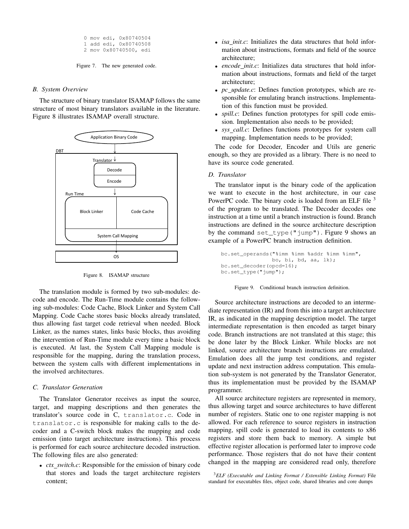```
0 mov edi, 0x80740504
  1 add edi, 0x80740508
  2 mov 0x80740500, edi
Figure 7. The new generated code.
```
#### *B. System Overview*

The structure of binary translator ISAMAP follows the same structure of most binary translators available in the literature. Figure 8 illustrates ISAMAP overall structure.



Figure 8. ISAMAP structure

The translation module is formed by two sub-modules: decode and encode. The Run-Time module contains the following sub-modules: Code Cache, Block Linker and System Call Mapping. Code Cache stores basic blocks already translated, thus allowing fast target code retrieval when needed. Block Linker, as the names states, links basic blocks, thus avoiding the intervention of Run-Time module every time a basic block is executed. At last, the System Call Mapping module is responsible for the mapping, during the translation process, between the system calls with different implementations in the involved architectures.

#### *C. Translator Generation*

The Translator Generator receives as input the source, target, and mapping descriptions and then generates the translator's source code in C, translator.c. Code in translator.c is responsible for making calls to the decoder and a C-switch block makes the mapping and code emission (into target architecture instructions). This process is performed for each source architecture decoded instruction. The following files are also generated:

• *ctx switch.c*: Responsible for the emission of binary code that stores and loads the target architecture registers content;

- *isa init.c*: Initializes the data structures that hold information about instructions, formats and field of the source architecture;
- *encode init.c*: Initializes data structures that hold information about instructions, formats and field of the target architecture;
- *pc\_update.c*: Defines function prototypes, which are responsible for emulating branch instructions. Implementation of this function must be provided.
- *spill.c*: Defines function prototypes for spill code emission. Implementation also needs to be provided;
- *sys call.c*: Defines functions prototypes for system call mapping. Implementation needs to be provided;

The code for Decoder, Encoder and Utils are generic enough, so they are provided as a library. There is no need to have its source code generated.

#### *D. Translator*

The translator input is the binary code of the application we want to execute in the host architecture, in our case PowerPC code. The binary code is loaded from an ELF file <sup>3</sup> of the program to be translated. The Decoder decodes one instruction at a time until a branch instruction is found. Branch instructions are defined in the source architecture description by the command set\_type("jump"). Figure 9 shows an example of a PowerPC branch instruction definition.

```
bc.set_operands("%imm %imm %addr %imm %imm",
                bo, bi, bd, aa, lk);
bc.set_decoder(opcd=16);
bc.set_type("jump");
```


Source architecture instructions are decoded to an intermediate representation (IR) and from this into a target architecture IR, as indicated in the mapping description model. The target intermediate representation is then encoded as target binary code. Branch instructions are not translated at this stage; this be done later by the Block Linker. While blocks are not linked, source architecture branch instructions are emulated. Emulation does all the jump test conditions, and register update and next instruction address computation. This emulation sub-system is not generated by the Translator Generator, thus its implementation must be provided by the ISAMAP programmer.

All source architecture registers are represented in memory, thus allowing target and source architectures to have different number of registers. Static one to one register mapping is not allowed. For each reference to source registers in instruction mapping, spill code is generated to load its contents to x86 registers and store them back to memory. A simple but effective register allocation is performed later to improve code performance. Those registers that do not have their content changed in the mapping are considered read only, therefore

<sup>3</sup>*ELF (Executable and Linking Format / Extensible Linking Format)* File standard for executables files, object code, shared libraries and core dumps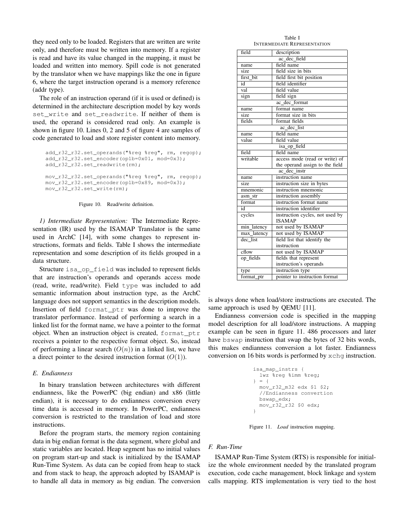they need only to be loaded. Registers that are written are write only, and therefore must be written into memory. If a register is read and have its value changed in the mapping, it must be loaded and written into memory. Spill code is not generated by the translator when we have mappings like the one in figure 6, where the target instruction operand is a memory reference (addr type).

The role of an instruction operand (if it is used or defined) is determined in the architecture description model by key words set\_write and set\_readwrite. If neither of them is used, the operand is considered read only. An example is shown in figure 10. Lines 0, 2 and 5 of figure 4 are samples of code generated to load and store register content into memory.

```
add_r32_r32.set_operands("%reg %reg", rm, regop);
add_r32_r32.set_encoder(op1b=0x01, mod=0x3);
add_r32_r32.set_readwrite(rm);
mov_r32_r32.set_operands("%reg %reg", rm, regop);
```
mov\_r32\_r32.set\_encoder(op1b=0x89, mod=0x3); mov\_r32\_r32.set\_write(rm);

Figure 10. Read/write definition.

*1) Intermediate Representation:* The Intermediate Representation (IR) used by the ISAMAP Translator is the same used in ArchC [14], with some changes to represent instructions, formats and fields. Table I shows the intermediate representation and some description of its fields grouped in a data structure.

Structure is a op field was included to represent fields that are instruction's operands and operands access mode (read, write, read/write). Field type was included to add semantic information about instruction type, as the ArchC language does not support semantics in the description models. Insertion of field format\_ptr was done to improve the translator performance. Instead of performing a search in a linked list for the format name, we have a pointer to the format object. When an instruction object is created, format\_ptr receives a pointer to the respective format object. So, instead of performing a linear search  $(O(n))$  in a linked list, we have a direct pointer to the desired instruction format  $(O(1))$ .

#### *E. Endianness*

In binary translation between architectures with different endianness, like the PowerPC (big endian) and x86 (little endian), it is necessary to do endianness conversion every time data is accessed in memory. In PowerPC, endianness conversion is restricted to the translation of load and store instructions.

Before the program starts, the memory region containing data in big endian format is the data segment, where global and static variables are located. Heap segment has no initial values on program start-up and stack is initialized by the ISAMAP Run-Time System. As data can be copied from heap to stack and from stack to heap, the approach adopted by ISAMAP is to handle all data in memory as big endian. The conversion

Table I INTERMEDIATE REPRESENTATION

| field<br>description                          |                                 |  |  |  |  |  |  |
|-----------------------------------------------|---------------------------------|--|--|--|--|--|--|
| ac dec field                                  |                                 |  |  |  |  |  |  |
| field name<br>name                            |                                 |  |  |  |  |  |  |
| size                                          | field size in bits              |  |  |  |  |  |  |
| first bit                                     | field first bit position        |  |  |  |  |  |  |
| field identifier<br>id                        |                                 |  |  |  |  |  |  |
| $\overline{val}$                              | field value                     |  |  |  |  |  |  |
| sign<br>field sign                            |                                 |  |  |  |  |  |  |
|                                               | ac dec format                   |  |  |  |  |  |  |
| name                                          | format name                     |  |  |  |  |  |  |
| size                                          | format size in bits             |  |  |  |  |  |  |
| fields                                        | format fields                   |  |  |  |  |  |  |
|                                               | ac dec list                     |  |  |  |  |  |  |
| name                                          | field name                      |  |  |  |  |  |  |
| value                                         | field value                     |  |  |  |  |  |  |
|                                               | isa_op_field                    |  |  |  |  |  |  |
| field<br>field name                           |                                 |  |  |  |  |  |  |
| writable                                      | access mode (read or write) of  |  |  |  |  |  |  |
| the operand assign to the field               |                                 |  |  |  |  |  |  |
| ac dec instr                                  |                                 |  |  |  |  |  |  |
| instruction name<br>name                      |                                 |  |  |  |  |  |  |
| size                                          | instruction size in bytes       |  |  |  |  |  |  |
| mnemonic                                      | instruction mnemonic            |  |  |  |  |  |  |
| asm str                                       | instruction assembly            |  |  |  |  |  |  |
| format                                        | instruction format name         |  |  |  |  |  |  |
| id                                            | instruction identifier          |  |  |  |  |  |  |
| cycles                                        | instruction cycles, not used by |  |  |  |  |  |  |
|                                               | <b>ISAMAP</b>                   |  |  |  |  |  |  |
| min_latency                                   | not used by ISAMAP              |  |  |  |  |  |  |
| not used by ISAMAP<br>max_latency<br>dec_list |                                 |  |  |  |  |  |  |
|                                               | field list that identify the    |  |  |  |  |  |  |
| instruction                                   |                                 |  |  |  |  |  |  |
| cflow                                         | not used by ISAMAP              |  |  |  |  |  |  |
| op fields                                     | fields that represent           |  |  |  |  |  |  |
|                                               | instruction's operands          |  |  |  |  |  |  |
| type                                          | instruction type                |  |  |  |  |  |  |
| pointer to instruction format<br>format_ptr   |                                 |  |  |  |  |  |  |

is always done when load/store instructions are executed. The same approach is used by QEMU [11].

Endianness conversion code is specified in the mapping model description for all load/store instructions. A mapping example can be seen in figure 11. 486 processors and later have bswap instruction that swap the bytes of 32 bits words, this makes endianness conversion a lot faster. Endianness conversion on 16 bits words is performed by xchg instruction.

```
isa_map_instrs {
  lwz %reg %imm %reg;
} = 6mov_r32_m32 edx $1 $2;
  //Endianness convertion
 bswap_edx;
 mov_r32_r32 $0 edx;
}
```
Figure 11. *Load* instruction mapping.

#### *F. Run-Time*

ISAMAP Run-Time System (RTS) is responsible for initialize the whole environment needed by the translated program execution, code cache management, block linkage and system calls mapping. RTS implementation is very tied to the host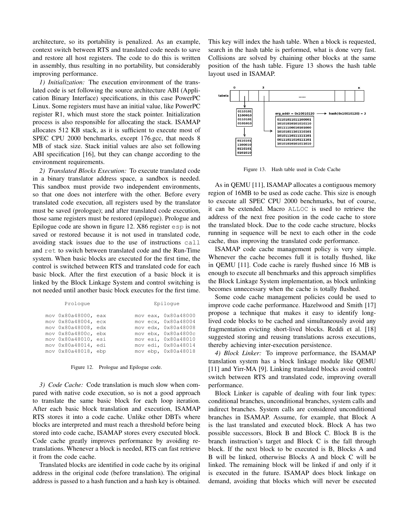architecture, so its portability is penalized. As an example, context switch between RTS and translated code needs to save and restore all host registers. The code to do this is written in assembly, thus resulting in no portability, but considerably improving performance.

*1) Initialization:* The execution environment of the translated code is set following the source architecture ABI (Application Binary Interface) specifications, in this case PowerPC Linux. Some registers must have an initial value, like PowerPC register R1, which must store the stack pointer. Initialization process is also responsible for allocating the stack. ISAMAP allocates 512 KB stack, as it is sufficient to execute most of SPEC CPU 2000 benchmarks, except 176.gcc, that needs 8 MB of stack size. Stack initial values are also set following ABI specification [16], but they can change according to the environment requirements.

*2) Translated Blocks Execution:* To execute translated code in a binary translator address space, a sandbox is needed. This sandbox must provide two independent environments, so that one does not interfere with the other. Before every translated code execution, all registers used by the translator must be saved (prologue); and after translated code execution, those same registers must be restored (epilogue). Prologue and Epilogue code are shown in figure 12. X86 register esp is not saved or restored because it is not used in translated code, avoiding stack issues due to the use of instructions call and ret to switch between translated code and the Run-Time system. When basic blocks are executed for the first time, the control is switched between RTS and translated code for each basic block. After the first execution of a basic block it is linked by the Block Linkage System and control switching is not needed until another basic block executes for the first time.

| Proloque                                                                                                                                                      |  | Epiloque                                                                                                                                                      |
|---------------------------------------------------------------------------------------------------------------------------------------------------------------|--|---------------------------------------------------------------------------------------------------------------------------------------------------------------|
| mov 0x80a48000, eax<br>mov 0x80a48004, ecx<br>mov 0x80a48008, edx<br>mov 0x80a4800c, ebx<br>mov 0x80a48010, esi<br>mov 0x80a48014, edi<br>mov 0x80a48018, ebp |  | mov eax, 0x80a48000<br>mov ecx, 0x80a48004<br>mov edx, 0x80a48008<br>mov ebx, 0x80a4800c<br>mov esi, 0x80a48010<br>mov edi, 0x80a48014<br>mov ebp, 0x80a48018 |
|                                                                                                                                                               |  |                                                                                                                                                               |

Figure 12. Prologue and Epilogue code.

*3) Code Cache:* Code translation is much slow when compared with native code execution, so is not a good approach to translate the same basic block for each loop iteration. After each basic block translation and execution, ISAMAP RTS stores it into a code cache. Unlike other DBTs where blocks are interpreted and must reach a threshold before being stored into code cache, ISAMAP stores every executed block. Code cache greatly improves performance by avoiding retranslations. Whenever a block is needed, RTS can fast retrieve it from the code cache.

Translated blocks are identified in code cache by its original address in the original code (before translation). The original address is passed to a hash function and a hash key is obtained. This key will index the hash table. When a block is requested, search in the hash table is performed, what is done very fast. Collisions are solved by chaining other blocks at the same position of the hash table. Figure 13 shows the hash table layout used in ISAMAP.



Figure 13. Hash table used in Code Cache

As in QEMU [11], ISAMAP allocates a contiguous memory region of 16MB to be used as code cache. This size is enough to execute all SPEC CPU 2000 benchmarks, but of course, it can be extended. Macro ALLOC is used to retrieve the address of the next free position in the code cache to store the translated block. Due to the code cache structure, blocks running in sequence will be next to each other in the code cache, thus improving the translated code performance.

ISAMAP code cache management policy is very simple. Whenever the cache becomes full it is totally flushed, like in QEMU [11]. Code cache is rarely flushed since 16 MB is enough to execute all benchmarks and this approach simplifies the Block Linkage System implementation, as block unlinking becomes unnecessary when the cache is totally flushed.

Some code cache management policies could be used to improve code cache performance. Hazelwood and Smith [17] propose a technique that makes it easy to identify longlived code blocks to be cached and simultaneously avoid any fragmentation evicting short-lived blocks. Reddi et al. [18] suggested storing and reusing translations across executions, thereby achieving inter-execution persistence.

*4) Block Linker:* To improve performance, the ISAMAP translation system has a block linkage module like QEMU [11] and Yirr-MA [9]. Linking translated blocks avoid control switch between RTS and translated code, improving overall performance.

Block Linker is capable of dealing with four link types: conditional branches, unconditional branches, system calls and indirect branches. System calls are considered unconditional branches in ISAMAP. Assume, for example, that Block A is the last translated and executed block. Block A has two possible successors, Block B and Block C. Block B is the branch instruction's target and Block C is the fall through block. If the next block to be executed is B, Blocks A and B will be linked, otherwise Blocks A and block C will be linked. The remaining block will be linked if and only if it is executed in the future. ISAMAP does block linkage on demand, avoiding that blocks which will never be executed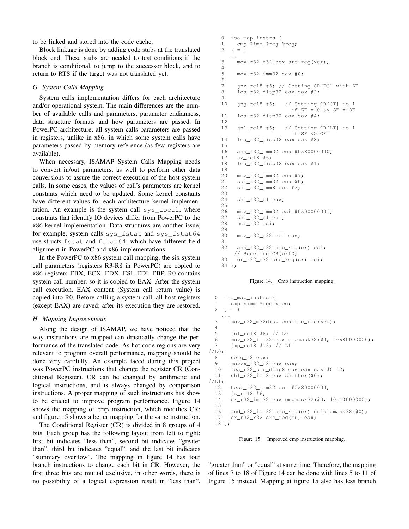to be linked and stored into the code cache.

Block linkage is done by adding code stubs at the translated block end. These stubs are needed to test conditions if the branch is conditional, to jump to the successor block, and to return to RTS if the target was not translated yet.

#### *G. System Calls Mapping*

System calls implementation differs for each architecture and/or operational system. The main differences are the number of available calls and parameters, parameter endianness, data structure formats and how parameters are passed. In PowerPC architecture, all system calls parameters are passed in registers, unlike in x86, in which some system calls have parameters passed by memory reference (as few registers are available).

When necessary, ISAMAP System Calls Mapping needs to convert in/out parameters, as well to perform other data conversions to assure the correct execution of the host system calls. In some cases, the values of call's parameters are kernel constants which need to be updated. Some kernel constants have different values for each architecture kernel implementation. An example is the system call sys\_ioctl, where constants that identify IO devices differ from PowerPC to the x86 kernel implementation. Data structures are another issue, for example, system calls sys\_fstat and sys\_fstat64 use structs fstat and fstat64, which have different field alignment in PowerPC and x86 implementations.

In the PowerPC to x86 system call mapping, the six system call parameters (registers R3-R8 in PowerPC) are copied to x86 registers EBX, ECX, EDX, ESI, EDI, EBP. R0 contains system call number, so it is copied to EAX. After the system call execution, EAX content (System call return value) is copied into R0. Before calling a system call, all host registers (except EAX) are saved; after its execution they are restored.

#### *H. Mapping Improvements*

Along the design of ISAMAP, we have noticed that the way instructions are mapped can drastically change the performance of the translated code. As hot code regions are very relevant to program overall performance, mapping should be done very carefully. An example faced during this project was PowerPC instructions that change the register CR (Conditional Register). CR can be changed by arithmetic and logical instructions, and is always changed by comparison instructions. A proper mapping of such instructions has show to be crucial to improve program performance. Figure 14 shows the mapping of cmp instruction, which modifies CR; and figure 15 shows a better mapping for the same instruction.

The Conditional Register (CR) is divided in 8 groups of 4 bits. Each group has the following layout from left to right: first bit indicates "less than", second bit indicates "greater than", third bit indicates "equal", and the last bit indicates "summary overflow". The mapping in figure 14 has four branch instructions to change each bit in CR. However, the first three bits are mutual exclusive, in other words, there is no possibility of a logical expression result in "less than",

```
0 isa_map_instrs {
1 cmp %imm %reg %reg;<br>2 } = {
  } = {...
3 mov_r32_r32 ecx src_reg(xer);
4
5 mov_r32_imm32 eax #0;
6
7 jnz_rel8 #6; // Setting CR[EQ] with ZF
8 lea_r32_disp32 eax eax #2;
9
10 jng_rel8 #6; // Setting CR[GT] to 1
                     if ZF = 0 && SF = OF11 lea_r32_disp32 eax eax #4;
\frac{12}{13}jnl_rel8 #6; // Setting CR[LT] to 1
                     if SF <> OF
14 lea r32 disp32 eax eax #8;
15
16 and_r32_imm32 ecx #0x80000000;
17 jz_rel8 #6;
18 lea_r32_disp32 eax eax #1;
19
20 mov_r32_imm32 ecx #7;
21 sub_r32_imm32 ecx $0;
22 shl_r32_imm8 ecx #2;
23
24 shl_r32_cl eax;
25
26 mov_r32_imm32 esi #0x0000000f;
27 shl_r32_cl esi;
28 not_r32 esi;
29
30 mov_r32_r32 edi eax;
31
32 and r32 r32 src reg(cr) esi;
    // Reseting CR[crfD]
33 or_r32_r32 src_reg(cr) edi;
34 };
```
Figure 14. Cmp instruction mapping.

```
0 isa_map_instrs {
  1 cmp %imm %reg %reg:
  2 \} = \{...
  3 mov_r32_m32disp ecx src_reg(xer);
  \frac{4}{5}5 jnl_rel8 #8; // L0
  6 mov_r32_imm32 eax cmpmask32($0, #0x80000000);<br>7 imp_re18 #13; // L1
       jmp_rel8 #13; // L1
//L0:
  8 setg_r8 eax;<br>9 movzx r32 r8
       9 movzx_r32_r8 eax eax;
  10 lea_r32_sib_disp8 eax eax eax #0 #2;
  11 shl_r32_imm8 eax shiftcr($0);
//L1:
  12 test_r32_imm32 ecx #0x80000000;
 13 jz_rel8 #6;
  14 or_r32_imm32 eax cmpmask32($0, #0x10000000);
  15
 16 and_r32_imm32 src_reg(cr) nniblemask32($0);
  17 or_r32_r32 src_reg(cr) eax;
 18 };
```
Figure 15. Improved cmp instruction mapping.

"greater than" or "equal" at same time. Therefore, the mapping of lines 7 to 18 of Figure 14 can be done with lines 5 to 11 of Figure 15 instead. Mapping at figure 15 also has less branch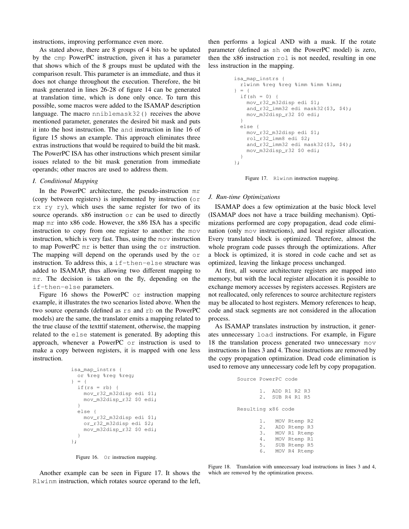instructions, improving performance even more.

As stated above, there are 8 groups of 4 bits to be updated by the cmp PowerPC instruction, given it has a parameter that shows which of the 8 groups must be updated with the comparison result. This parameter is an immediate, and thus it does not change throughout the execution. Therefore, the bit mask generated in lines 26-28 of figure 14 can be generated at translation time, which is done only once. To turn this possible, some macros were added to the ISAMAP description language. The macro nniblemask32() receives the above mentioned parameter, generates the desired bit mask and puts it into the host instruction. The and instruction in line 16 of figure 15 shows an example. This approach eliminates three extras instructions that would be required to build the bit mask. The PowerPC ISA has other instructions which present similar issues related to the bit mask generation from immediate operands; other macros are used to address them.

#### *I. Conditional Mapping*

In the PowerPC architecture, the pseudo-instruction mr (copy between registers) is implemented by instruction (or rx ry ry), which uses the same register for two of its source operands. x86 instruction or can be used to directly map mr into x86 code. However, the x86 ISA has a specific instruction to copy from one register to another: the mov instruction, which is very fast. Thus, using the mov instruction to map PowerPC mr is better than using the or instruction. The mapping will depend on the operands used by the or instruction. To address this, a if-then-else structure was added to ISAMAP, thus allowing two different mapping to mr. The decision is taken on the fly, depending on the if-then-else parameters.

Figure 16 shows the PowerPC or instruction mapping example, it illustrates the two scenarios listed above. When the two source operands (defined as rs and rb on the PowerPC models) are the same, the translator emits a mapping related to the true clause of the textttif statement, otherwise, the mapping related to the else statement is generated. By adopting this approach, whenever a PowerPC or instruction is used to make a copy between registers, it is mapped with one less instruction.

```
isa_map_instrs {
 or %reg %reg %reg;
} = 6if(rs = rb) {
   mov_r32_m32disp edi $1;
   mov_m32disp_r32 $0 edi;
  }
 else {
   mov_r32_m32disp edi $1;
    or_r32_m32disp edi $2;
    mov_m32disp_r32 $0 edi;
  }
};
```


then performs a logical AND with a mask. If the rotate parameter (defined as sh on the PowerPC model) is zero, then the x86 instruction rol is not needed, resulting in one less instruction in the mapping.

```
isa_map_instrs {
 rlwinm %reg %reg %imm %imm %imm;
} = 6if(sh = 0) {
   mov_r32_m32disp edi $1;
    and_r32_imm32 edi mask32($3, $4);
   mov_m32disp_r32 $0 edi;
  }
  else {
   mov_r32_m32disp edi $1;
    rol_r32_imm8 edi $2;
    and_r32_imm32 edi mask32($3, $4);
   mov_m32disp_r32 $0 edi;
  }
};
```


#### *J. Run-time Optimizations*

ISAMAP does a few optimization at the basic block level (ISAMAP does not have a trace building mechanism). Optimizations performed are copy propagation, dead code elimination (only mov instructions), and local register allocation. Every translated block is optimized. Therefore, almost the whole program code passes through the optimizations. After a block is optimized, it is stored in code cache and set as optimized, leaving the linkage process unchanged.

At first, all source architecture registers are mapped into memory, but with the local register allocation it is possible to exchange memory accesses by registers accesses. Registers are not reallocated, only references to source architecture registers may be allocated to host registers. Memory references to heap, code and stack segments are not considered in the allocation process.

As ISAMAP translates instruction by instruction, it generates unnecessary load instructions. For example, in Figure 18 the translation process generated two unnecessary mov instructions in lines 3 and 4. Those instructions are removed by the copy propagation optimization. Dead code elimination is used to remove any unnecessary code left by copy propagation.

| Source PowerPC code |    |                                    |              |  |
|---------------------|----|------------------------------------|--------------|--|
|                     |    | 1. ADD R1 R2 R3<br>2. SUB R4 R1 R5 |              |  |
| Resulting x86 code  |    |                                    |              |  |
|                     |    |                                    | MOV Rtemp R2 |  |
|                     |    | 2. ADD Rtemp R3                    |              |  |
|                     | 3. |                                    | MOV R1 Rtemp |  |
|                     | 4. |                                    | MOV Rtemp R1 |  |
|                     |    | 5. SUB Rtemp R5                    |              |  |
|                     | 6. |                                    | MOV R4 Rtemp |  |
|                     |    |                                    |              |  |

Another example can be seen in Figure 17. It shows the Rlwinm instruction, which rotates source operand to the left,

Figure 18. Translation with unnecessary load instructions in lines 3 and 4, which are removed by the optimization process.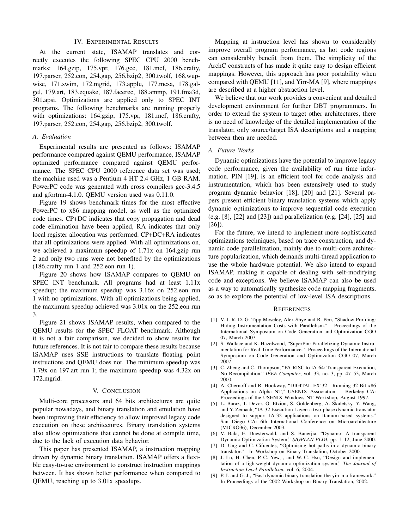#### IV. EXPERIMENTAL RESULTS

At the current state, ISAMAP translates and correctly executes the following SPEC CPU 2000 benchmarks: 164.gzip, 175.vpr, 176.gcc, 181.mcf, 186.crafty, 197.parser, 252.eon, 254.gap, 256.bzip2, 300.twolf, 168.wupwise, 171.swim, 172.mgrid, 173.applu, 177.mesa, 178.galgel, 179.art, 183.equake, 187.facerec, 188.ammp, 191.fma3d, 301.apsi. Optimizations are applied only to SPEC INT programs. The following benchmarks are running properly with optimizations: 164.gzip, 175.vpr, 181.mcf, 186.crafty, 197.parser, 252.eon, 254.gap, 256.bzip2, 300.twolf.

#### *A. Evaluation*

Experimental results are presented as follows: ISAMAP performance compared against QEMU performance, ISAMAP optimized performance compared against QEMU performance. The SPEC CPU 2000 reference data set was used; the machine used was a Pentium 4 HT 2.4 GHz, 1 GB RAM. PowerPC code was generated with cross compilers gcc-3.4.5 and gfortran-4.1.0. QEMU version used was 0.11.0.

Figure 19 shows benchmark times for the most effective PowerPC to x86 mapping model, as well as the optimized code times. CP+DC indicates that copy propagation and dead code elimination have been applied, RA indicates that only local register allocation was performed. CP+DC+RA indicates that all optimizations were applied. With all optimizations on, we achieved a maximum speedup of 1.71x on 164.gzip run 2 and only two runs were not benefited by the optimizations (186.crafty run 1 and 252.eon run 1).

Figure 20 shows how ISAMAP compares to QEMU on SPEC INT benchmark. All programs had at least 1.11x speedup; the maximum speedup was 3.16x on 252.eon run 1 with no optimizations. With all optimizations being applied, the maximum speedup achieved was 3.01x on the 252.eon run 3.

Figure 21 shows ISAMAP results, when compared to the QEMU results for the SPEC FLOAT benchmark. Although it is not a fair comparison, we decided to show results for future references. It is not fair to compare these results because ISAMAP uses SSE instructions to translate floating point instructions and QEMU does not. The minimum speedup was 1.79x on 197.art run 1; the maximum speedup was 4.32x on 172.mgrid.

#### V. CONCLUSION

Multi-core processors and 64 bits architectures are quite popular nowadays, and binary translation and emulation have been improving their efficiency to allow improved legacy code execution on these architectures. Binary translation systems also allow optimizations that cannot be done at compile time, due to the lack of execution data behavior.

This paper has presented ISAMAP, a instruction mapping driven by dynamic binary translation. ISAMAP offers a flexible easy-to-use environment to construct instruction mappings between. It has shown better performance when compared to QEMU, reaching up to 3.01x speedups.

Mapping at instruction level has shown to considerably improve overall program performance, as hot code regions can considerably benefit from them. The simplicity of the ArchC constructs of has made it quite easy to design efficient mappings. However, this approach has poor portability when compared with QEMU [11], and Yirr-MA [9], where mappings are described at a higher abstraction level.

We believe that our work provides a convenient and detailed development environment for further DBT programmers. In order to extend the system to target other architectures, there is no need of knowledge of the detailed implementation of the translator, only source/target ISA descriptions and a mapping between then are needed.

#### *A. Future Works*

Dynamic optimizations have the potential to improve legacy code performance, given the availability of run time information. PIN [19], is an efficient tool for code analysis and instrumentation, which has been extensively used to study program dynamic behavior [18], [20] and [21]. Several papers present efficient binary translation systems which apply dynamic optimizations to improve sequential code execution (e.g. [8], [22] and [23]) and parallelization (e.g. [24], [25] and [26]).

For the future, we intend to implement more sophisticated optimizations techniques, based on trace construction, and dynamic code parallelization, mainly due to multi-core architecture popularization, which demands multi-thread application to use the whole hardware potential. We also intend to expand ISAMAP, making it capable of dealing with self-modifying code and exceptions. We believe ISAMAP can also be used as a way to automatically synthesize code mapping fragments, so as to explore the potential of low-level ISA descriptions.

#### **REFERENCES**

- [1] V. J. R. D. G. Tipp Moseley, Alex Shye and R. Peri, "Shadow Profiling: Hiding Instrumentation Costs with Parallelism." Proceedings of the International Symposium on Code Generation and Optimization CGO 07, March 2007.
- [2] S. Wallace and K. Hazelwood, "SuperPin: Parallelizing Dynamic Instrumentation for Real-Time Performance." Proceedings of the International Symposium on Code Generation and Optimization CGO 07, March 2007.
- [3] C. Zheng and C. Thompson, "PA-RISC to IA-64: Transparent Execution, No Recompilation," *IEEE Computer*, vol. 33, no. 3, pp. 47–53, March 2000.
- [4] A. Chernoff and R. Hookway, "DIGITAL FX!32 Running 32-Bit x86 Applications on Alpha NT," USENIX Association. Proceedings of the USENIX Windows NT Workshop, August 1997.
- [5] L. Baraz, T. Devor, O. Etzion, S. Goldenberg, A. Skaletsky, Y. Wang, and Y. Zemach, "IA-32 Execution Layer: a two-phase dynamic translator designed to support IA-32 applications on Itanium-based systems." San Diego CA: 6th International Conference on Microarchitecture (MICRO36), December 2003.
- [6] V. Bala, E. Duesterwald, and S. Banerjia, "Dynamo: A transparent Dynamic Optimization System," *SIGPLAN PLDI*, pp. 1–12, June 2000.
- [7] D. Ung and C. Cifuentes, "Optimising hot paths in a dynamic binary translator." In Workshop on Binary Translation, October 2000.
- [8] J. Lu, H. Chen, P.-C. Yew, , and W.-C. Hsu, "Design and implementation of a lightweight dynamic optimization system," *The Journal of Instruction-Level Parallelism*, vol. 6, 2004.
- [9] P. J. and G. J., "Fast dynamic binary translation the yirr-ma framework." In Proceedings of the 2002 Workshop on Binary Translation, 2002.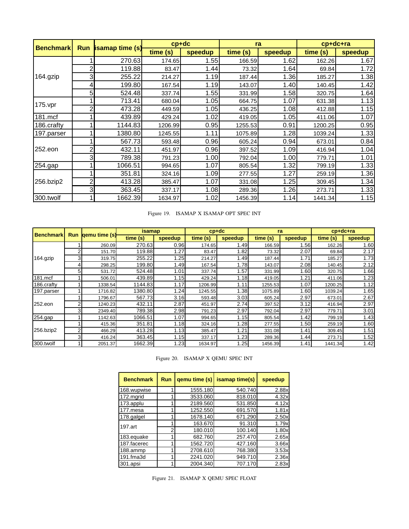| <b>Benchmark</b> |   | <b>Run</b> <i>isamap</i> time (s) | $cp+dc$  |         |          | ra      | $cp+dc+ra$ |         |
|------------------|---|-----------------------------------|----------|---------|----------|---------|------------|---------|
|                  |   |                                   | time (s) | speedup | time (s) | speedup | time (s)   | speedup |
|                  |   | 270.63                            | 174.65   | 1.55    | 166.59   | 1.62    | 162.26     | 1.67    |
|                  | 2 | 119.88                            | 83.47    | 1.44    | 73.32    | 1.64    | 69.84      | 1.72    |
| 164.gzip         | 3 | 255.22                            | 214.27   | 1.19    | 187.44   | 1.36    | 185.27     | 1.38    |
|                  | 4 | 199.80                            | 167.54   | 1.19    | 143.07   | 1.40    | 140.45     | 1.42    |
|                  | 5 | 524.48                            | 337.74   | 1.55    | 331.99   | 1.58    | 320.75     | 1.64    |
| $175$ . vpr      |   | 713.41                            | 680.04   | 1.05    | 664.75   | 1.07    | 631.38     | 1.13    |
|                  | 2 | 473.28                            | 449.59   | 1.05    | 436.25   | 1.08    | 412.88     | 1.15    |
| 181.mcf          |   | 439.89                            | 429.24   | 1.02    | 419.05   | 1.05    | 411.06     | 1.07    |
| 186.crafty       |   | 1144.83                           | 1206.99  | 0.95    | 1255.53  | 0.91    | 1200.25    | 0.95    |
| 197.parser       |   | 1380.80                           | 1245.55  | 1.11    | 1075.89  | 1.28    | 1039.24    | 1.33    |
|                  |   | 567.73                            | 593.48   | 0.96    | 605.24   | 0.94    | 673.01     | 0.84    |
| 252.eon          | 2 | 432.11                            | 451.97   | 0.96    | 397.52   | 1.09    | 416.94     | 1.04    |
|                  | 3 | 789.38                            | 791.23   | 1.00    | 792.04   | 1.00    | 779.71     | 1.01    |
| 254.gap          |   | 1066.51                           | 994.65   | 1.07    | 805.54   | 1.32    | 799.19     | 1.33    |
|                  |   | 351.81                            | 324.16   | 1.09    | 277.55   | 1.27    | 259.19     | 1.36    |
| 256.bzip2        | 2 | 413.28                            | 385.47   | 1.07    | 331.08   | 1.25    | 309.45     | 1.34    |
|                  | 3 | 363.45                            | 337.17   | 1.08    | 289.36   | 1.26    | 273.71     | 1.33    |
| 300.twolf        |   | 1662.39                           | 1634.97  | 1.02    | 1456.39  | 1.14    | 1441.34    | 1.15    |

Figure 19. ISAMAP X ISAMAP OPT SPEC INT

| <b>Benchmark</b> | <b>Run</b> | qemu time (s) | <b>isamap</b> |         | $cp+dc$  |         | ra       |         | $cp+dc+ra$ |         |
|------------------|------------|---------------|---------------|---------|----------|---------|----------|---------|------------|---------|
|                  |            |               | time(s)       | speedup | time (s) | speedup | time (s) | speedup | time (s)   | speedup |
|                  |            | 260.09        | 270.63        | 0.96    | 174.65   | 1.49    | 166.59   | 1.56    | 162.26     | 1.60    |
|                  | 2          | 151.70        | 119.88        | 1.27    | 83.47    | 1.82    | 73.32    | 2.07    | 69.84      | 2.17    |
| 164.gzip         | 3          | 319.75        | 255.22        | 1.25    | 214.27   | 1.49    | 187.44   | 1.71    | 185.27     | 1.73    |
|                  |            | 298.25        | 199.80        | 1.49    | 167.54   | 1.78    | 143.07   | 2.08    | 140.45     | 2.12    |
|                  | 5          | 531.72        | 524.48        | 1.01    | 337.74   | 1.57    | 331.99   | 1.60    | 320.75     | 1.66    |
| 181.mcf          |            | 506.01        | 439.89        | 1.15    | 429.24   | 1.18    | 419.05   | 1.21    | 411.06     | 1.23    |
| 186.crafty       |            | 1338.54       | 1144.83       | 1.17    | 1206.99  | 1.11    | 1255.53  | 1.07    | 1200.25    | 1.12    |
| 197.parser       |            | 1716.82       | 1380.80       | .24     | 1245.55  | 1.38    | 1075.89  | 1.60    | 1039.24    | 1.65    |
|                  |            | 1796.67       | 567.73        | 3.16    | 593.48   | 3.03    | 605.24   | 2.97    | 673.01     | 2.67    |
| 252,eon          | $\sim$     | 1240.23       | 432.11        | 2.87    | 451.97   | 2.74    | 397.52   | 3.12    | 416.94     | 2.97    |
|                  | 3          | 2349.40       | 789.38        | 2.98    | 791.23   | 2.97    | 792.04   | 2.97    | 779.71     | 3.01    |
| 254.gap          |            | 1142.63       | 1066.51       | 1.07    | 994.65   | 1.15    | 805.54   | 1.42    | 799.19     | 1.43    |
|                  |            | 415.36        | 351.81        | 1.18    | 324.16   | 1.28    | 277.55   | 1.50    | 259.19     | 1.60    |
| 256.bzip2        |            | 466.29        | 413.28        | 1.13    | 385.47   | 1.21    | 331.08   | 1.41    | 309.45     | 1.51    |
|                  |            | 416.24        | 363.45        | 1.15    | 337.17   | 1.23    | 289.36   | 1.44    | 273.71     | 1.52    |
| 300.twolf        |            | 2051.37       | 1662.39       | 1.23    | 1634.97  | 1.25    | 1456.39  | 1.41    | 1441.34    | 1.42    |

Figure 20. ISAMAP X QEMU SPEC INT

| <b>Benchmark</b> | <b>Run</b> | gemu time (s) | isamap time(s) | speedup |
|------------------|------------|---------------|----------------|---------|
| 168.wupwise      |            | 1555.180      | 540.740        | 2.88x   |
| 172.mgrid        |            | 3533.060      | 818.010        | 4.32x   |
| 173.applu        |            | 2189.560      | 531.850        | 4.12x   |
| 177.mesa         |            | 1252.550      | 691.570        | 1.81x   |
| 178.galgel       |            | 1678.140      | 671.290        | 2.50x   |
| 197.art          |            | 163.670       | 91.310         | 1.79x   |
|                  | Ω          | 180.010       | 100.140        | 1.80x   |
| 183.equake       |            | 682.760       | 257.470        | 2.65x   |
| 187.facerec      |            | 1562.720      | 427.160        | 3.66x   |
| 188.ammp         |            | 2708.610      | 768.380        | 3.53x   |
| 191.fma3d        |            | 2241.020      | 949.710        | 2.36x   |
| 301.apsi         |            | 2004.340      | 707.170        | 2.83x   |

Figure 21. ISAMAP X QEMU SPEC FLOAT